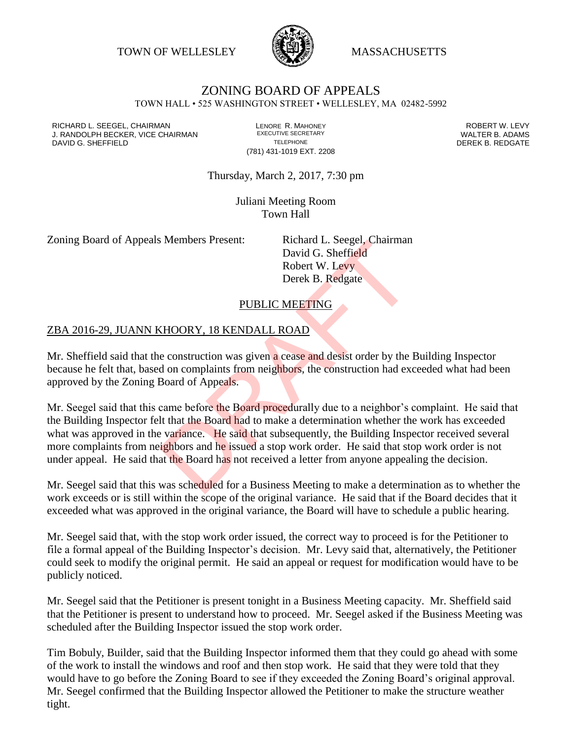TOWN OF WELLESLEY **WASSACHUSETTS** 



## ZONING BOARD OF APPEALS TOWN HALL • 525 WASHINGTON STREET • WELLESLEY, MA 02482-5992

RICHARD L. SEEGEL, CHAIRMAN LENORE R. MAHONEY ROBERT W. LEVY J. RANDOLPH BECKER, VICE CHAIRMAN EXECUTIVE SECRETARY THE SECRETARY THE SANDOLPH BECKER B. ADAMS<br>DEREK B. REDGATE DAVID G. SHEFFIELD

(781) 431-1019 EXT. 2208

Thursday, March 2, 2017, 7:30 pm

Juliani Meeting Room Town Hall

Zoning Board of Appeals Members Present: Richard L. Seegel, Chairman

David G. Sheffield Robert W. Levy Derek B. Redgate

## PUBLIC MEETING

## ZBA 2016-29, JUANN KHOORY, 18 KENDALL ROAD

Mr. Sheffield said that the construction was given a cease and desist order by the Building Inspector because he felt that, based on complaints from neighbors, the construction had exceeded what had been approved by the Zoning Board of Appeals.

Mr. Seegel said that this came before the Board procedurally due to a neighbor's complaint. He said that the Building Inspector felt that the Board had to make a determination whether the work has exceeded what was approved in the variance. He said that subsequently, the Building Inspector received several more complaints from neighbors and he issued a stop work order. He said that stop work order is not under appeal. He said that the Board has not received a letter from anyone appealing the decision. Examples Fresent:<br>
David G. Sheffield<br>
Robert W. Levy<br>
Derek B. Redgate<br>
PUBLIC MEETING<br>
(HOORY, 18 KENDALL ROAD)<br>
e construction was given a cease and desist order by the b<br>
d on complaints from neighbors, the constructio

Mr. Seegel said that this was scheduled for a Business Meeting to make a determination as to whether the work exceeds or is still within the scope of the original variance. He said that if the Board decides that it exceeded what was approved in the original variance, the Board will have to schedule a public hearing.

Mr. Seegel said that, with the stop work order issued, the correct way to proceed is for the Petitioner to file a formal appeal of the Building Inspector's decision. Mr. Levy said that, alternatively, the Petitioner could seek to modify the original permit. He said an appeal or request for modification would have to be publicly noticed.

Mr. Seegel said that the Petitioner is present tonight in a Business Meeting capacity. Mr. Sheffield said that the Petitioner is present to understand how to proceed. Mr. Seegel asked if the Business Meeting was scheduled after the Building Inspector issued the stop work order.

Tim Bobuly, Builder, said that the Building Inspector informed them that they could go ahead with some of the work to install the windows and roof and then stop work. He said that they were told that they would have to go before the Zoning Board to see if they exceeded the Zoning Board's original approval. Mr. Seegel confirmed that the Building Inspector allowed the Petitioner to make the structure weather tight.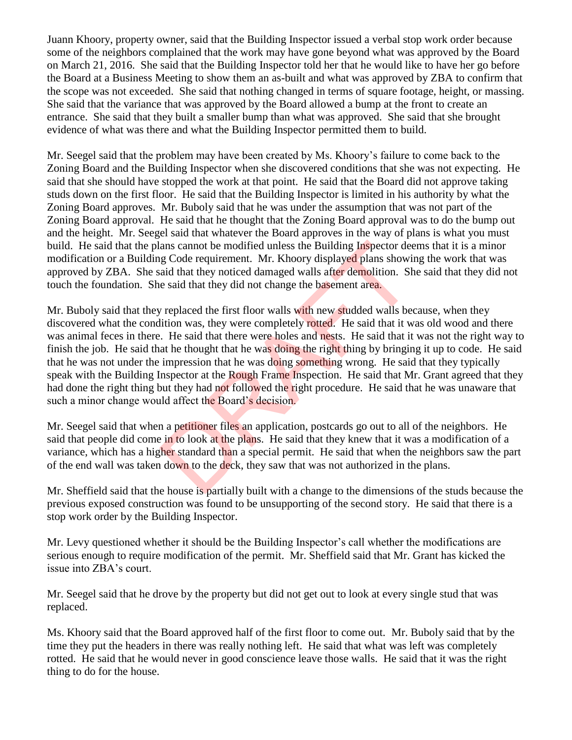Juann Khoory, property owner, said that the Building Inspector issued a verbal stop work order because some of the neighbors complained that the work may have gone beyond what was approved by the Board on March 21, 2016. She said that the Building Inspector told her that he would like to have her go before the Board at a Business Meeting to show them an as-built and what was approved by ZBA to confirm that the scope was not exceeded. She said that nothing changed in terms of square footage, height, or massing. She said that the variance that was approved by the Board allowed a bump at the front to create an entrance. She said that they built a smaller bump than what was approved. She said that she brought evidence of what was there and what the Building Inspector permitted them to build.

Mr. Seegel said that the problem may have been created by Ms. Khoory's failure to come back to the Zoning Board and the Building Inspector when she discovered conditions that she was not expecting. He said that she should have stopped the work at that point. He said that the Board did not approve taking studs down on the first floor. He said that the Building Inspector is limited in his authority by what the Zoning Board approves. Mr. Buboly said that he was under the assumption that was not part of the Zoning Board approval. He said that he thought that the Zoning Board approval was to do the bump out and the height. Mr. Seegel said that whatever the Board approves in the way of plans is what you must build. He said that the plans cannot be modified unless the Building Inspector deems that it is a minor modification or a Building Code requirement. Mr. Khoory displayed plans showing the work that was approved by ZBA. She said that they noticed damaged walls after demolition. She said that they did not touch the foundation. She said that they did not change the basement area.

Mr. Buboly said that they replaced the first floor walls with new studded walls because, when they discovered what the condition was, they were completely rotted. He said that it was old wood and there was animal feces in there. He said that there were holes and nests. He said that it was not the right way to finish the job. He said that he thought that he was doing the right thing by bringing it up to code. He said that he was not under the impression that he was doing something wrong. He said that they typically speak with the Building Inspector at the Rough Frame Inspection. He said that Mr. Grant agreed that they had done the right thing but they had not followed the right procedure. He said that he was unaware that such a minor change would affect the Board's decision. ans cannot be modified unless the Building Inspector deal growton deal growton can great members. Mr. Khoory displayed plans showin and that they noticed damaged walls after demolition. She said that they did not change th

Mr. Seegel said that when a petitioner files an application, postcards go out to all of the neighbors. He said that people did come in to look at the plans. He said that they knew that it was a modification of a variance, which has a higher standard than a special permit. He said that when the neighbors saw the part of the end wall was taken down to the deck, they saw that was not authorized in the plans.

Mr. Sheffield said that the house is partially built with a change to the dimensions of the studs because the previous exposed construction was found to be unsupporting of the second story. He said that there is a stop work order by the Building Inspector.

Mr. Levy questioned whether it should be the Building Inspector's call whether the modifications are serious enough to require modification of the permit. Mr. Sheffield said that Mr. Grant has kicked the issue into ZBA's court.

Mr. Seegel said that he drove by the property but did not get out to look at every single stud that was replaced.

Ms. Khoory said that the Board approved half of the first floor to come out. Mr. Buboly said that by the time they put the headers in there was really nothing left. He said that what was left was completely rotted. He said that he would never in good conscience leave those walls. He said that it was the right thing to do for the house.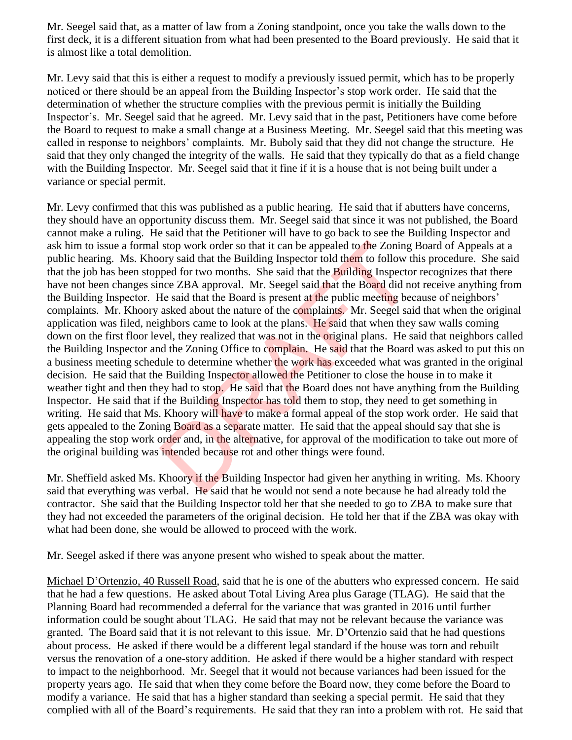Mr. Seegel said that, as a matter of law from a Zoning standpoint, once you take the walls down to the first deck, it is a different situation from what had been presented to the Board previously. He said that it is almost like a total demolition.

Mr. Levy said that this is either a request to modify a previously issued permit, which has to be properly noticed or there should be an appeal from the Building Inspector's stop work order. He said that the determination of whether the structure complies with the previous permit is initially the Building Inspector's. Mr. Seegel said that he agreed. Mr. Levy said that in the past, Petitioners have come before the Board to request to make a small change at a Business Meeting. Mr. Seegel said that this meeting was called in response to neighbors' complaints. Mr. Buboly said that they did not change the structure. He said that they only changed the integrity of the walls. He said that they typically do that as a field change with the Building Inspector. Mr. Seegel said that it fine if it is a house that is not being built under a variance or special permit.

Mr. Levy confirmed that this was published as a public hearing. He said that if abutters have concerns, they should have an opportunity discuss them. Mr. Seegel said that since it was not published, the Board cannot make a ruling. He said that the Petitioner will have to go back to see the Building Inspector and ask him to issue a formal stop work order so that it can be appealed to the Zoning Board of Appeals at a public hearing. Ms. Khoory said that the Building Inspector told them to follow this procedure. She said that the job has been stopped for two months. She said that the **Building** Inspector recognizes that there have not been changes since ZBA approval. Mr. Seegel said that the Board did not receive anything from the Building Inspector. He said that the Board is present at the public meeting because of neighbors' complaints. Mr. Khoory asked about the nature of the complaints. Mr. Seegel said that when the original application was filed, neighbors came to look at the plans. He said that when they saw walls coming down on the first floor level, they realized that was not in the original plans. He said that neighbors called the Building Inspector and the Zoning Office to complain. He said that the Board was asked to put this on a business meeting schedule to determine whether the work has exceeded what was granted in the original decision. He said that the Building Inspector allowed the Petitioner to close the house in to make it weather tight and then they had to stop. He said that the Board does not have anything from the Building Inspector. He said that if the Building Inspector has told them to stop, they need to get something in writing. He said that Ms. Khoory will have to make a formal appeal of the stop work order. He said that gets appealed to the Zoning Board as a separate matter. He said that the appeal should say that she is appealing the stop work order and, in the alternative, for approval of the modification to take out more of the original building was intended because rot and other things were found. stop work order so that it can be appealed to the Zoning<br>ory said that the Building Inspector told them to follow ti<br>ped for two months. She said that the Building Inspecto<br>nce ZBA approval. Mr. Seegel said that the Board

Mr. Sheffield asked Ms. Khoory if the Building Inspector had given her anything in writing. Ms. Khoory said that everything was verbal. He said that he would not send a note because he had already told the contractor. She said that the Building Inspector told her that she needed to go to ZBA to make sure that they had not exceeded the parameters of the original decision. He told her that if the ZBA was okay with what had been done, she would be allowed to proceed with the work.

Mr. Seegel asked if there was anyone present who wished to speak about the matter.

Michael D'Ortenzio, 40 Russell Road, said that he is one of the abutters who expressed concern. He said that he had a few questions. He asked about Total Living Area plus Garage (TLAG). He said that the Planning Board had recommended a deferral for the variance that was granted in 2016 until further information could be sought about TLAG. He said that may not be relevant because the variance was granted. The Board said that it is not relevant to this issue. Mr. D'Ortenzio said that he had questions about process. He asked if there would be a different legal standard if the house was torn and rebuilt versus the renovation of a one-story addition. He asked if there would be a higher standard with respect to impact to the neighborhood. Mr. Seegel that it would not because variances had been issued for the property years ago. He said that when they come before the Board now, they come before the Board to modify a variance. He said that has a higher standard than seeking a special permit. He said that they complied with all of the Board's requirements. He said that they ran into a problem with rot. He said that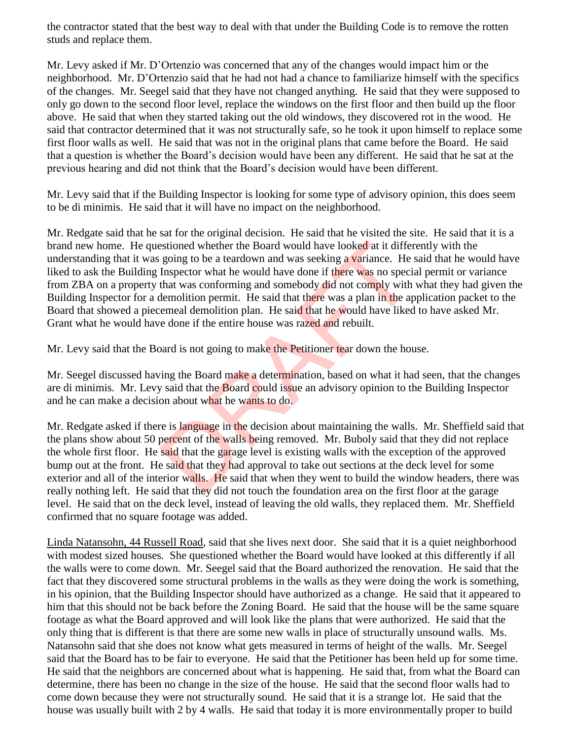the contractor stated that the best way to deal with that under the Building Code is to remove the rotten studs and replace them.

Mr. Levy asked if Mr. D'Ortenzio was concerned that any of the changes would impact him or the neighborhood. Mr. D'Ortenzio said that he had not had a chance to familiarize himself with the specifics of the changes. Mr. Seegel said that they have not changed anything. He said that they were supposed to only go down to the second floor level, replace the windows on the first floor and then build up the floor above. He said that when they started taking out the old windows, they discovered rot in the wood. He said that contractor determined that it was not structurally safe, so he took it upon himself to replace some first floor walls as well. He said that was not in the original plans that came before the Board. He said that a question is whether the Board's decision would have been any different. He said that he sat at the previous hearing and did not think that the Board's decision would have been different.

Mr. Levy said that if the Building Inspector is looking for some type of advisory opinion, this does seem to be di minimis. He said that it will have no impact on the neighborhood.

Mr. Redgate said that he sat for the original decision. He said that he visited the site. He said that it is a brand new home. He questioned whether the Board would have looked at it differently with the understanding that it was going to be a teardown and was seeking a variance. He said that he would have liked to ask the Building Inspector what he would have done if there was no special permit or variance from ZBA on a property that was conforming and somebody did not comply with what they had given the Building Inspector for a demolition permit. He said that there was a plan in the application packet to the Board that showed a piecemeal demolition plan. He said that he would have liked to have asked Mr. Grant what he would have done if the entire house was razed and rebuilt. estioned whether the Board would have looked at it differ<br>going to be a teardown and was seeking a variance. He<br>Inspector what he would have done if there was no speci<br>that was conforming and somebody did not comply with<br>d

Mr. Levy said that the Board is not going to make the Petitioner tear down the house.

Mr. Seegel discussed having the Board make a determination, based on what it had seen, that the changes are di minimis. Mr. Levy said that the Board could issue an advisory opinion to the Building Inspector and he can make a decision about what he wants to do.

Mr. Redgate asked if there is language in the decision about maintaining the walls. Mr. Sheffield said that the plans show about 50 percent of the walls being removed. Mr. Buboly said that they did not replace the whole first floor. He said that the garage level is existing walls with the exception of the approved bump out at the front. He said that they had approval to take out sections at the deck level for some exterior and all of the interior walls. He said that when they went to build the window headers, there was really nothing left. He said that they did not touch the foundation area on the first floor at the garage level. He said that on the deck level, instead of leaving the old walls, they replaced them. Mr. Sheffield confirmed that no square footage was added.

Linda Natansohn, 44 Russell Road, said that she lives next door. She said that it is a quiet neighborhood with modest sized houses. She questioned whether the Board would have looked at this differently if all the walls were to come down. Mr. Seegel said that the Board authorized the renovation. He said that the fact that they discovered some structural problems in the walls as they were doing the work is something, in his opinion, that the Building Inspector should have authorized as a change. He said that it appeared to him that this should not be back before the Zoning Board. He said that the house will be the same square footage as what the Board approved and will look like the plans that were authorized. He said that the only thing that is different is that there are some new walls in place of structurally unsound walls. Ms. Natansohn said that she does not know what gets measured in terms of height of the walls. Mr. Seegel said that the Board has to be fair to everyone. He said that the Petitioner has been held up for some time. He said that the neighbors are concerned about what is happening. He said that, from what the Board can determine, there has been no change in the size of the house. He said that the second floor walls had to come down because they were not structurally sound. He said that it is a strange lot. He said that the house was usually built with 2 by 4 walls. He said that today it is more environmentally proper to build